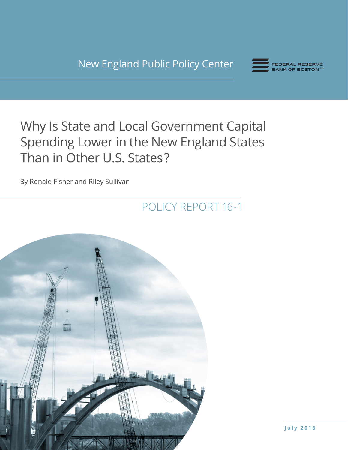New England Public Policy Center



# Why Is State and Local Government Capital Spending Lower in the New England States Than in Other U.S. States ?

By Ronald Fisher and Riley Sullivan

POLICY REPORT 16-1

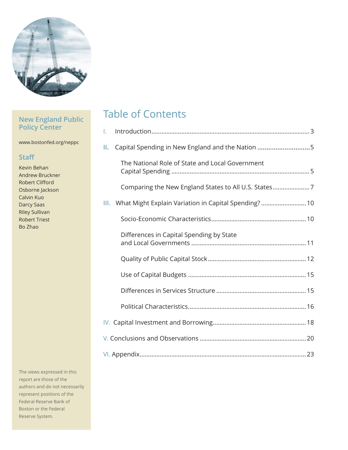

# **New England Public Policy Center**

www.bostonfed.org/neppc

# **Staff**

Kevin Behan Andrew Bruckner Robert Clifford Osborne Jackson Calvin Kuo Darcy Saas Riley Sullivan Robert Triest Bo Zhao

The views expressed in this report are those of the authors and do not necessarily represent positions of the Federal Reserve Bank of Boston or the Federal Reserve System.

# Table of Contents

| I. |                                                           |  |
|----|-----------------------------------------------------------|--|
| Ш. | Capital Spending in New England and the Nation 5          |  |
|    | The National Role of State and Local Government           |  |
|    | Comparing the New England States to All U.S. States7      |  |
|    | III. What Might Explain Variation in Capital Spending? 10 |  |
|    |                                                           |  |
|    | Differences in Capital Spending by State                  |  |
|    |                                                           |  |
|    |                                                           |  |
|    |                                                           |  |
|    |                                                           |  |
|    |                                                           |  |
|    |                                                           |  |
|    |                                                           |  |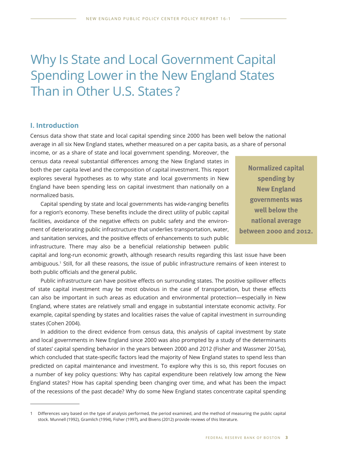# Why Is State and Local Government Capital Spending Lower in the New England States Than in Other U.S. States ?

### **I. Introduction**

Census data show that state and local capital spending since 2000 has been well below the national average in all six New England states, whether measured on a per capita basis, as a share of personal

income, or as a share of state and local government spending. Moreover, the census data reveal substantial differences among the New England states in both the per capita level and the composition of capital investment. This report explores several hypotheses as to why state and local governments in New England have been spending less on capital investment than nationally on a normalized basis.

Capital spending by state and local governments has wide-ranging benefits for a region's economy. These benefits include the direct utility of public capital facilities, avoidance of the negative effects on public safety and the environment of deteriorating public infrastructure that underlies transportation, water, and sanitation services, and the positive effects of enhancements to such public infrastructure. There may also be a beneficial relationship between public

**Normalized capital spending by New England governments was well below the national average between 2000 and 2012.**

capital and long-run economic growth, although research results regarding this last issue have been ambiguous.1 Still, for all these reasons, the issue of public infrastructure remains of keen interest to both public officials and the general public.

Public infrastructure can have positive effects on surrounding states. The positive spillover effects of state capital investment may be most obvious in the case of transportation, but these effects can also be important in such areas as education and environmental protection—especially in New England, where states are relatively small and engage in substantial interstate economic activity. For example, capital spending by states and localities raises the value of capital investment in surrounding states (Cohen 2004).

In addition to the direct evidence from census data, this analysis of capital investment by state and local governments in New England since 2000 was also prompted by a study of the determinants of states' capital spending behavior in the years between 2000 and 2012 (Fisher and Wassmer 2015a), which concluded that state-specific factors lead the majority of New England states to spend less than predicted on capital maintenance and investment. To explore why this is so, this report focuses on a number of key policy questions: Why has capital expenditure been relatively low among the New England states? How has capital spending been changing over time, and what has been the impact of the recessions of the past decade? Why do some New England states concentrate capital spending

<sup>1</sup> Differences vary based on the type of analysis performed, the period examined, and the method of measuring the public capital stock. Munnell (1992), Gramlich (1994), Fisher (1997), and Bivens (2012) provide reviews of this literature.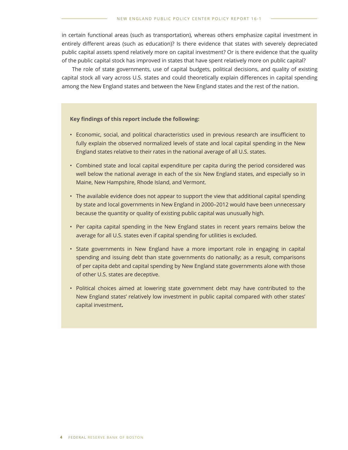in certain functional areas (such as transportation), whereas others emphasize capital investment in entirely different areas (such as education)? Is there evidence that states with severely depreciated public capital assets spend relatively more on capital investment? Or is there evidence that the quality of the public capital stock has improved in states that have spent relatively more on public capital?

The role of state governments, use of capital budgets, political decisions, and quality of existing capital stock all vary across U.S. states and could theoretically explain differences in capital spending among the New England states and between the New England states and the rest of the nation.

#### **Key findings of this report include the following:**

- Economic, social, and political characteristics used in previous research are insufficient to fully explain the observed normalized levels of state and local capital spending in the New England states relative to their rates in the national average of all U.S. states.
- Combined state and local capital expenditure per capita during the period considered was well below the national average in each of the six New England states, and especially so in Maine, New Hampshire, Rhode Island, and Vermont.
- The available evidence does not appear to support the view that additional capital spending by state and local governments in New England in 2000–2012 would have been unnecessary because the quantity or quality of existing public capital was unusually high.
- Per capita capital spending in the New England states in recent years remains below the average for all U.S. states even if capital spending for utilities is excluded.
- State governments in New England have a more important role in engaging in capital spending and issuing debt than state governments do nationally; as a result, comparisons of per capita debt and capital spending by New England state governments alone with those of other U.S. states are deceptive.
- Political choices aimed at lowering state government debt may have contributed to the New England states' relatively low investment in public capital compared with other states' capital investment**.**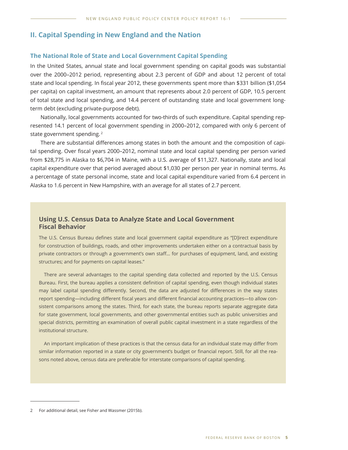### **II. Capital Spending in New England and the Nation**

#### **The National Role of State and Local Government Capital Spending**

In the United States, annual state and local government spending on capital goods was substantial over the 2000–2012 period, representing about 2.3 percent of GDP and about 12 percent of total state and local spending. In fiscal year 2012, these governments spent more than \$331 billion (\$1,054 per capita) on capital investment, an amount that represents about 2.0 percent of GDP, 10.5 percent of total state and local spending, and 14.4 percent of outstanding state and local government longterm debt (excluding private-purpose debt).

Nationally, local governments accounted for two-thirds of such expenditure. Capital spending represented 14.1 percent of local government spending in 2000–2012, compared with only 6 percent of state government spending.<sup>2</sup>

There are substantial differences among states in both the amount and the composition of capital spending. Over fiscal years 2000–2012, nominal state and local capital spending per person varied from \$28,775 in Alaska to \$6,704 in Maine, with a U.S. average of \$11,327. Nationally, state and local capital expenditure over that period averaged about \$1,030 per person per year in nominal terms. As a percentage of state personal income, state and local capital expenditure varied from 6.4 percent in Alaska to 1.6 percent in New Hampshire, with an average for all states of 2.7 percent.

### **Using U.S. Census Data to Analyze State and Local Government Fiscal Behavior**

The U.S. Census Bureau defines state and local government capital expenditure as "[D]irect expenditure for construction of buildings, roads, and other improvements undertaken either on a contractual basis by private contractors or through a government's own staff… for purchases of equipment, land, and existing structures; and for payments on capital leases."

There are several advantages to the capital spending data collected and reported by the U.S. Census Bureau. First, the bureau applies a consistent definition of capital spending, even though individual states may label capital spending differently. Second, the data are adjusted for differences in the way states report spending—including different fiscal years and different financial accounting practices—to allow consistent comparisons among the states. Third, for each state, the bureau reports separate aggregate data for state government, local governments, and other governmental entities such as public universities and special districts, permitting an examination of overall public capital investment in a state regardless of the institutional structure.

An important implication of these practices is that the census data for an individual state may differ from similar information reported in a state or city government's budget or financial report. Still, for all the reasons noted above, census data are preferable for interstate comparisons of capital spending.

<sup>2</sup> For additional detail, see Fisher and Wassmer (2015b).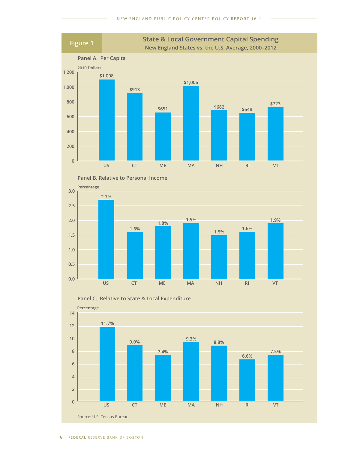





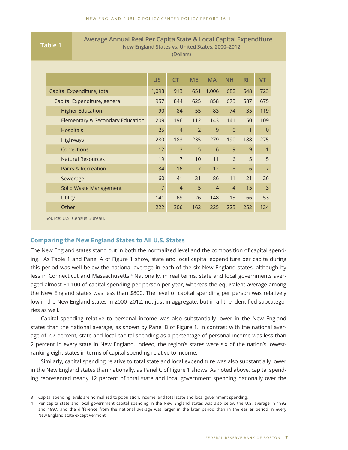**Table 1** Average Annual Real Per Capita State & Local Capital Expenditure<br>New England States vs. United States, 2000-2012 **New England States vs. United States, 2000–2012** (Dollars)

|                                             | <b>US</b>      | <b>CT</b>      | <b>ME</b>      | <b>MA</b>      | <b>NH</b>      | <b>RI</b> | <b>VT</b>      |
|---------------------------------------------|----------------|----------------|----------------|----------------|----------------|-----------|----------------|
| Capital Expenditure, total                  | 1,098          | 913            | 651            | 1,006          | 682            | 648       | 723            |
| Capital Expenditure, general                | 957            | 844            | 625            | 858            | 673            | 587       | 675            |
| <b>Higher Education</b>                     | 90             | 84             | 55             | 83             | 74             | 35        | 119            |
| <b>Elementary &amp; Secondary Education</b> | 209            | 196            | 112            | 143            | 141            | 50        | 109            |
| <b>Hospitals</b>                            | 25             | $\overline{4}$ | $\overline{2}$ | 9              | $\overline{0}$ | 1         | $\Omega$       |
| <b>Highways</b>                             |                | 183            | 235            | 279            | 190            | 188       | 275            |
| Corrections                                 | 12             | $\overline{3}$ | 5              | 6              | 9              | 9         | 1              |
| <b>Natural Resources</b>                    | 19             | $\overline{7}$ | 10             | 11             | 6              | 5         | 5              |
| <b>Parks &amp; Recreation</b>               | 34             | 16             | $\overline{7}$ | 12             | 8              | 6         | $\overline{7}$ |
| Sewerage                                    | 60             | 41             | 31             | 86             | 11             | 21        | 26             |
| Solid Waste Management                      | $\overline{7}$ | $\overline{4}$ | 5              | $\overline{4}$ | $\overline{4}$ | 15        | $\overline{3}$ |
| <b>Utility</b>                              | 141            | 69             | 26             | 148            | 13             | 66        | 53             |
| Other                                       | 222            | 306            | 162            | 225            | 225            | 252       | 124            |

Source: U.S. Census Bureau.

### **Comparing the New England States to All U.S. States**

The New England states stand out in both the normalized level and the composition of capital spending.3 As Table 1 and Panel A of Figure 1 show, state and local capital expenditure per capita during this period was well below the national average in each of the six New England states, although by less in Connecticut and Massachusetts.<sup>4</sup> Nationally, in real terms, state and local governments averaged almost \$1,100 of capital spending per person per year, whereas the equivalent average among the New England states was less than \$800. The level of capital spending per person was relatively low in the New England states in 2000–2012, not just in aggregate, but in all the identified subcategories as well.

Capital spending relative to personal income was also substantially lower in the New England states than the national average, as shown by Panel B of Figure 1. In contrast with the national average of 2.7 percent, state and local capital spending as a percentage of personal income was less than 2 percent in every state in New England. Indeed, the region's states were six of the nation's lowestranking eight states in terms of capital spending relative to income.

Similarly, capital spending relative to total state and local expenditure was also substantially lower in the New England states than nationally, as Panel C of Figure 1 shows. As noted above, capital spending represented nearly 12 percent of total state and local government spending nationally over the

<sup>3</sup> Capital spending levels are normalized to population, income, and total state and local government spending.

<sup>4</sup> Per capita state and local government capital spending in the New England states was also below the U.S. average in 1992 and 1997, and the difference from the national average was larger in the later period than in the earlier period in every New England state except Vermont.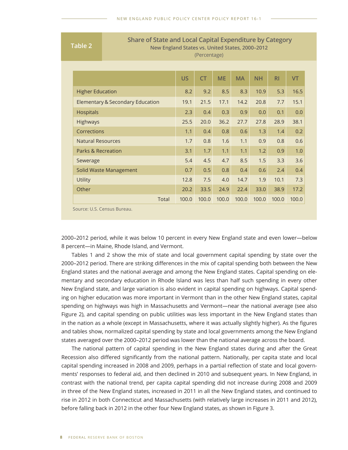**Table 2**<br>**Table 2** Share of State and Local Capital Expenditure by Category<br>New England States vs. United States, 2000–2012 **New England States vs. United States, 2000–2012**

(Percentage)

|                                             | <b>US</b> | <b>CT</b> | <b>ME</b> | <b>MA</b> | <b>NH</b> | <b>RI</b> | <b>VT</b> |
|---------------------------------------------|-----------|-----------|-----------|-----------|-----------|-----------|-----------|
| <b>Higher Education</b>                     | 8.2       | 9.2       | 8.5       | 8.3       | 10.9      | 5.3       | 16.5      |
| <b>Elementary &amp; Secondary Education</b> | 19.1      | 21.5      | 17.1      | 14.2      | 20.8      | 7.7       | 15.1      |
| <b>Hospitals</b>                            | 2.3       | 0.4       | 0.3       | 0.9       | 0.0       | 0.1       | 0.0       |
| <b>Highways</b>                             | 25.5      | 20.0      | 36.2      | 27.7      | 27.8      | 28.9      | 38.1      |
| Corrections                                 | 1.1       | 0.4       | 0.8       | 0.6       | 1.3       | 1.4       | 0.2       |
| <b>Natural Resources</b>                    | 1.7       | 0.8       | 1.6       | 1.1       | 0.9       | 0.8       | 0.6       |
| <b>Parks &amp; Recreation</b>               | 3.1       | 1.7       | 1.1       | 1.1       | 1.2       | 0.9       | 1.0       |
| Sewerage                                    | 5.4       | 4.5       | 4.7       | 8.5       | 1.5       | 3.3       | 3.6       |
| Solid Waste Management                      | 0.7       | 0.5       | 0.8       | 0.4       | 0.6       | 2.4       | 0.4       |
| <b>Utility</b>                              | 12.8      | 7.5       | 4.0       | 14.7      | 1.9       | 10.1      | 7.3       |
| Other                                       | 20.2      | 33.5      | 24.9      | 22.4      | 33.0      | 38.9      | 17.2      |
| Total                                       | 100.0     | 100.0     | 100.0     | 100.0     | 100.0     | 100.0     | 100.0     |

Source: U.S. Census Bureau.

2000–2012 period, while it was below 10 percent in every New England state and even lower—below 8 percent—in Maine, Rhode Island, and Vermont.

Tables 1 and 2 show the mix of state and local government capital spending by state over the 2000–2012 period. There are striking differences in the mix of capital spending both between the New England states and the national average and among the New England states. Capital spending on elementary and secondary education in Rhode Island was less than half such spending in every other New England state, and large variation is also evident in capital spending on highways. Capital spending on higher education was more important in Vermont than in the other New England states, capital spending on highways was high in Massachusetts and Vermont—near the national average (see also Figure 2), and capital spending on public utilities was less important in the New England states than in the nation as a whole (except in Massachusetts, where it was actually slightly higher). As the figures and tables show, normalized capital spending by state and local governments among the New England states averaged over the 2000–2012 period was lower than the national average across the board.

The national pattern of capital spending in the New England states during and after the Great Recession also differed significantly from the national pattern. Nationally, per capita state and local capital spending increased in 2008 and 2009, perhaps in a partial reflection of state and local governments' responses to federal aid, and then declined in 2010 and subsequent years. In New England, in contrast with the national trend, per capita capital spending did not increase during 2008 and 2009 in three of the New England states, increased in 2011 in all the New England states, and continued to rise in 2012 in both Connecticut and Massachusetts (with relatively large increases in 2011 and 2012), before falling back in 2012 in the other four New England states, as shown in Figure 3.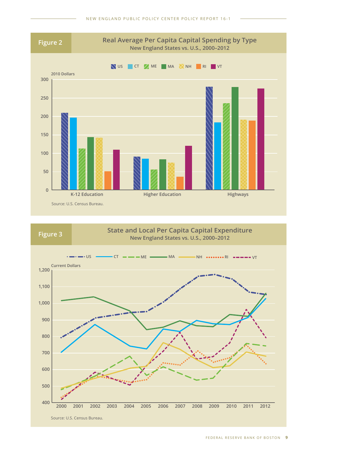

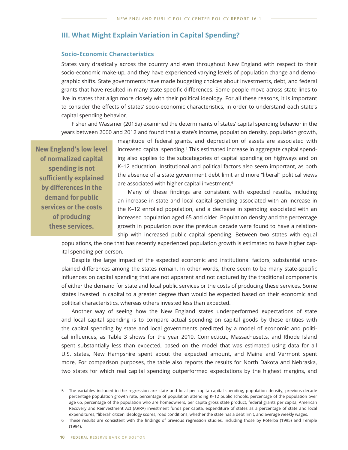## **III. What Might Explain Variation in Capital Spending?**

#### **Socio-Economic Characteristics**

States vary drastically across the country and even throughout New England with respect to their socio-economic make-up, and they have experienced varying levels of population change and demographic shifts. State governments have made budgeting choices about investments, debt, and federal grants that have resulted in many state-specific differences. Some people move across state lines to live in states that align more closely with their political ideology. For all these reasons, it is important to consider the effects of states' socio-economic characteristics, in order to understand each state's capital spending behavior.

Fisher and Wassmer (2015a) examined the determinants of states' capital spending behavior in the years between 2000 and 2012 and found that a state's income, population density, population growth,

**New England's low level of normalized capital spending is not sufficiently explained by differences in the demand for public services or the costs of producing these services.**

magnitude of federal grants, and depreciation of assets are associated with increased capital spending.<sup>5</sup> This estimated increase in aggregate capital spending also applies to the subcategories of capital spending on highways and on K–12 education. Institutional and political factors also seem important, as both the absence of a state government debt limit and more "liberal" political views are associated with higher capital investment.<sup>6</sup>

Many of these findings are consistent with expected results, including an increase in state and local capital spending associated with an increase in the K–12 enrolled population, and a decrease in spending associated with an increased population aged 65 and older. Population density and the percentage growth in population over the previous decade were found to have a relationship with increased public capital spending. Between two states with equal

populations, the one that has recently experienced population growth is estimated to have higher capital spending per person.

Despite the large impact of the expected economic and institutional factors, substantial unexplained differences among the states remain. In other words, there seem to be many state-specific influences on capital spending that are not apparent and not captured by the traditional components of either the demand for state and local public services or the costs of producing these services. Some states invested in capital to a greater degree than would be expected based on their economic and political characteristics, whereas others invested less than expected.

Another way of seeing how the New England states underperformed expectations of state and local capital spending is to compare actual spending on capital goods by these entities with the capital spending by state and local governments predicted by a model of economic and political influences, as Table 3 shows for the year 2010. Connecticut, Massachusetts, and Rhode Island spent substantially less than expected, based on the model that was estimated using data for all U.S. states, New Hampshire spent about the expected amount, and Maine and Vermont spent more. For comparison purposes, the table also reports the results for North Dakota and Nebraska, two states for which real capital spending outperformed expectations by the highest margins, and

<sup>5</sup> The variables included in the regression are state and local per capita capital spending, population density, previous-decade percentage population growth rate, percentage of population attending K–12 public schools, percentage of the population over age 65, percentage of the population who are homeowners, per capita gross state product, federal grants per capita, American Recovery and Reinvestment Act (ARRA) investment funds per capita, expenditure of states as a percentage of state and local expenditures, "liberal" citizen ideology scores, road conditions, whether the state has a debt limit, and average weekly wages.

<sup>6</sup> These results are consistent with the findings of previous regression studies, including those by Poterba (1995) and Temple (1994).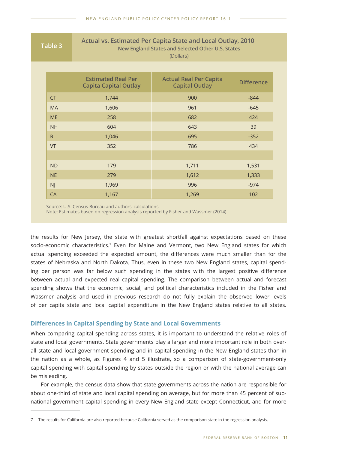| Table 3        | Actual vs. Estimated Per Capita State and Local Outlay, 2010<br>New England States and Selected Other U.S. States<br>(Dollars) |                                                        |                   |  |  |  |
|----------------|--------------------------------------------------------------------------------------------------------------------------------|--------------------------------------------------------|-------------------|--|--|--|
|                |                                                                                                                                |                                                        |                   |  |  |  |
|                | <b>Estimated Real Per</b><br><b>Capita Capital Outlay</b>                                                                      | <b>Actual Real Per Capita</b><br><b>Capital Outlay</b> | <b>Difference</b> |  |  |  |
| <b>CT</b>      | 1,744                                                                                                                          | 900                                                    | $-844$            |  |  |  |
| <b>MA</b>      | 1,606                                                                                                                          | 961                                                    | $-645$            |  |  |  |
| <b>ME</b>      | 258                                                                                                                            | 682                                                    | 424               |  |  |  |
| <b>NH</b>      | 604                                                                                                                            | 643                                                    | 39                |  |  |  |
| R <sub>l</sub> | 1,046                                                                                                                          | 695                                                    | $-352$            |  |  |  |
| VT             | 352                                                                                                                            | 786                                                    | 434               |  |  |  |
|                |                                                                                                                                |                                                        |                   |  |  |  |
| <b>ND</b>      | 179                                                                                                                            | 1,711                                                  | 1,531             |  |  |  |
| <b>NE</b>      | 279                                                                                                                            | 1,612                                                  | 1,333             |  |  |  |
| <b>NJ</b>      | 1,969                                                                                                                          | 996                                                    | $-974$            |  |  |  |
| CA             | 1,167                                                                                                                          | 1,269                                                  | 102               |  |  |  |

Source: U.S. Census Bureau and authors' calculations.

Note: Estimates based on regression analysis reported by Fisher and Wassmer (2014).

the results for New Jersey, the state with greatest shortfall against expectations based on these socio-economic characteristics.<sup>7</sup> Even for Maine and Vermont, two New England states for which actual spending exceeded the expected amount, the differences were much smaller than for the states of Nebraska and North Dakota. Thus, even in these two New England states, capital spending per person was far below such spending in the states with the largest positive difference between actual and expected real capital spending. The comparison between actual and forecast spending shows that the economic, social, and political characteristics included in the Fisher and Wassmer analysis and used in previous research do not fully explain the observed lower levels of per capita state and local capital expenditure in the New England states relative to all states.

#### **Differences in Capital Spending by State and Local Governments**

When comparing capital spending across states, it is important to understand the relative roles of state and local governments. State governments play a larger and more important role in both overall state and local government spending and in capital spending in the New England states than in the nation as a whole, as Figures 4 and 5 illustrate, so a comparison of state-government-only capital spending with capital spending by states outside the region or with the national average can be misleading.

For example, the census data show that state governments across the nation are responsible for about one-third of state and local capital spending on average, but for more than 45 percent of subnational government capital spending in every New England state except Connecticut, and for more

<sup>7</sup> The results for California are also reported because California served as the comparison state in the regression analysis.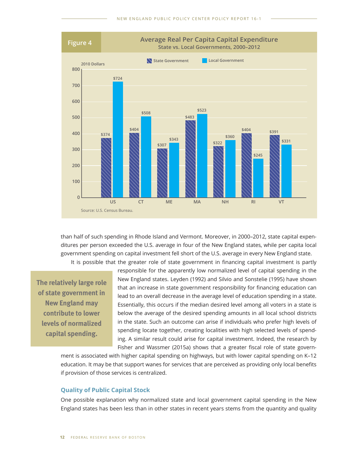

than half of such spending in Rhode Island and Vermont. Moreover, in 2000–2012, state capital expenditures per person exceeded the U.S. average in four of the New England states, while per capita local government spending on capital investment fell short of the U.S. average in every New England state.

It is possible that the greater role of state government in financing capital investment is partly

**The relatively large role of state government in New England may contribute to lower levels of normalized capital spending.**

responsible for the apparently low normalized level of capital spending in the New England states. Leyden (1992) and Silvio and Sonstelie (1995) have shown that an increase in state government responsibility for financing education can lead to an overall decrease in the average level of education spending in a state. Essentially, this occurs if the median desired level among all voters in a state is below the average of the desired spending amounts in all local school districts in the state. Such an outcome can arise if individuals who prefer high levels of spending locate together, creating localities with high selected levels of spending. A similar result could arise for capital investment. Indeed, the research by Fisher and Wassmer (2015a) shows that a greater fiscal role of state govern-

ment is associated with higher capital spending on highways, but with lower capital spending on K–12 education. It may be that support wanes for services that are perceived as providing only local benefits if provision of those services is centralized.

#### **Quality of Public Capital Stock**

One possible explanation why normalized state and local government capital spending in the New England states has been less than in other states in recent years stems from the quantity and quality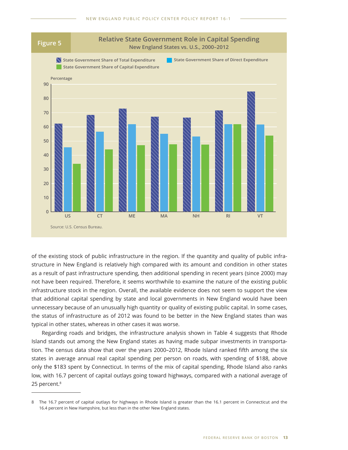

of the existing stock of public infrastructure in the region. If the quantity and quality of public infrastructure in New England is relatively high compared with its amount and condition in other states as a result of past infrastructure spending, then additional spending in recent years (since 2000) may not have been required. Therefore, it seems worthwhile to examine the nature of the existing public infrastructure stock in the region. Overall, the available evidence does not seem to support the view that additional capital spending by state and local governments in New England would have been unnecessary because of an unusually high quantity or quality of existing public capital. In some cases, the status of infrastructure as of 2012 was found to be better in the New England states than was typical in other states, whereas in other cases it was worse.

Regarding roads and bridges, the infrastructure analysis shown in Table 4 suggests that Rhode Island stands out among the New England states as having made subpar investments in transportation. The census data show that over the years 2000–2012, Rhode Island ranked fifth among the six states in average annual real capital spending per person on roads, with spending of \$188, above only the \$183 spent by Connecticut. In terms of the mix of capital spending, Rhode Island also ranks low, with 16.7 percent of capital outlays going toward highways, compared with a national average of 25 percent.<sup>8</sup>

<sup>8</sup> The 16.7 percent of capital outlays for highways in Rhode Island is greater than the 16.1 percent in Connecticut and the 16.4 percent in New Hampshire, but less than in the other New England states.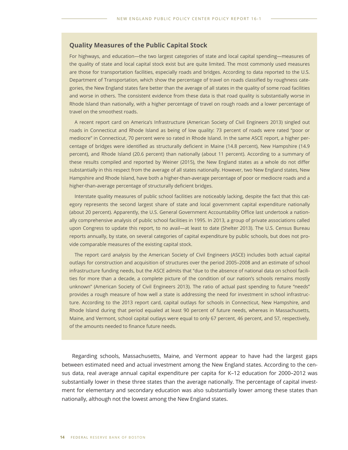#### **Quality Measures of the Public Capital Stock**

For highways, and education—the two largest categories of state and local capital spending—measures of the quality of state and local capital stock exist but are quite limited. The most commonly used measures are those for transportation facilities, especially roads and bridges. According to data reported to the U.S. Department of Transportation, which show the percentage of travel on roads classified by roughness categories, the New England states fare better than the average of all states in the quality of some road facilities and worse in others. The consistent evidence from these data is that road quality is substantially worse in Rhode Island than nationally, with a higher percentage of travel on rough roads and a lower percentage of travel on the smoothest roads.

A recent report card on America's Infrastructure (American Society of Civil Engineers 2013) singled out roads in Connecticut and Rhode Island as being of low quality: 73 percent of roads were rated "poor or mediocre" in Connecticut, 70 percent were so rated in Rhode Island. In the same ASCE report, a higher percentage of bridges were identified as structurally deficient in Maine (14.8 percent), New Hampshire (14.9 percent), and Rhode Island (20.6 percent) than nationally (about 11 percent). According to a summary of these results compiled and reported by Weiner (2015), the New England states as a whole do not differ substantially in this respect from the average of all states nationally. However, two New England states, New Hampshire and Rhode Island, have both a higher-than-average percentage of poor or mediocre roads and a higher-than-average percentage of structurally deficient bridges.

Interstate quality measures of public school facilities are noticeably lacking, despite the fact that this category represents the second largest share of state and local government capital expenditure nationally (about 20 percent). Apparently, the U.S. General Government Accountability Office last undertook a nationally comprehensive analysis of public school facilities in 1995. In 2013, a group of private associations called upon Congress to update this report, to no avail—at least to date (Shelter 2013). The U.S. Census Bureau reports annually, by state, on several categories of capital expenditure by public schools, but does not provide comparable measures of the existing capital stock.

The report card analysis by the American Society of Civil Engineers (ASCE) includes both actual capital outlays for construction and acquisition of structures over the period 2005–2008 and an estimate of school infrastructure funding needs, but the ASCE admits that "due to the absence of national data on school facilities for more than a decade, a complete picture of the condition of our nation's schools remains mostly unknown" (American Society of Civil Engineers 2013). The ratio of actual past spending to future "needs" provides a rough measure of how well a state is addressing the need for investment in school infrastructure. According to the 2013 report card, capital outlays for schools in Connecticut, New Hampshire, and Rhode Island during that period equaled at least 90 percent of future needs, whereas in Massachusetts, Maine, and Vermont, school capital outlays were equal to only 67 percent, 46 percent, and 57, respectively, of the amounts needed to finance future needs.

Regarding schools, Massachusetts, Maine, and Vermont appear to have had the largest gaps between estimated need and actual investment among the New England states. According to the census data, real average annual capital expenditure per capita for K–12 education for 2000–2012 was substantially lower in these three states than the average nationally. The percentage of capital investment for elementary and secondary education was also substantially lower among these states than nationally, although not the lowest among the New England states.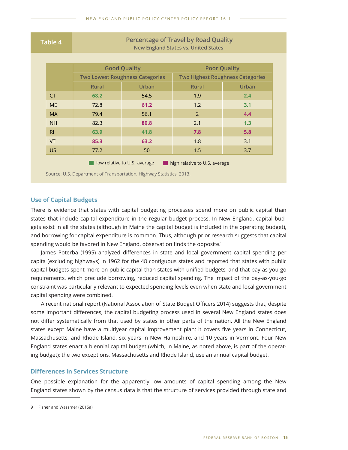| Table 4                                                       | <b>Percentage of Travel by Road Quality</b><br><b>New England States vs. United States</b> |                                        |                                         |                     |  |  |
|---------------------------------------------------------------|--------------------------------------------------------------------------------------------|----------------------------------------|-----------------------------------------|---------------------|--|--|
|                                                               |                                                                                            |                                        |                                         |                     |  |  |
|                                                               |                                                                                            | <b>Good Quality</b>                    |                                         | <b>Poor Quality</b> |  |  |
|                                                               |                                                                                            | <b>Two Lowest Roughness Categories</b> | <b>Two Highest Roughness Categories</b> |                     |  |  |
|                                                               | <b>Rural</b>                                                                               | Urban                                  | <b>Rural</b>                            | Urban               |  |  |
| <b>CT</b>                                                     | 68.2                                                                                       | 54.5                                   | 1.9                                     | 2.4                 |  |  |
| <b>ME</b>                                                     | 72.8                                                                                       | 61.2                                   | 1.2                                     | 3.1                 |  |  |
| <b>MA</b>                                                     | 79.4                                                                                       | 56.1                                   | $\overline{2}$                          | 4.4                 |  |  |
| <b>NH</b>                                                     | 82.3                                                                                       | 80.8                                   | 2.1                                     | 1.3                 |  |  |
| R <sub>1</sub>                                                | 63.9                                                                                       | 41.8                                   | 7.8                                     | 5.8                 |  |  |
| <b>VT</b>                                                     | 85.3                                                                                       | 63.2                                   | 1.8                                     | 3.1                 |  |  |
| <b>US</b>                                                     | 77.2                                                                                       | 50                                     | 1.5                                     | 3.7                 |  |  |
| high relative to U.S. average<br>low relative to U.S. average |                                                                                            |                                        |                                         |                     |  |  |

Source: U.S. Department of Transportation, Highway Statistics, 2013.

#### **Use of Capital Budgets**

There is evidence that states with capital budgeting processes spend more on public capital than states that include capital expenditure in the regular budget process. In New England, capital budgets exist in all the states (although in Maine the capital budget is included in the operating budget), and borrowing for capital expenditure is common. Thus, although prior research suggests that capital spending would be favored in New England, observation finds the opposite.<sup>9</sup>

James Poterba (1995) analyzed differences in state and local government capital spending per capita (excluding highways) in 1962 for the 48 contiguous states and reported that states with public capital budgets spent more on public capital than states with unified budgets, and that pay-as-you-go requirements, which preclude borrowing, reduced capital spending. The impact of the pay-as-you-go constraint was particularly relevant to expected spending levels even when state and local government capital spending were combined.

A recent national report (National Association of State Budget Officers 2014) suggests that, despite some important differences, the capital budgeting process used in several New England states does not differ systematically from that used by states in other parts of the nation. All the New England states except Maine have a multiyear capital improvement plan: it covers five years in Connecticut, Massachusetts, and Rhode Island, six years in New Hampshire, and 10 years in Vermont. Four New England states enact a biennial capital budget (which, in Maine, as noted above, is part of the operating budget); the two exceptions, Massachusetts and Rhode Island, use an annual capital budget.

#### **Differences in Services Structure**

One possible explanation for the apparently low amounts of capital spending among the New England states shown by the census data is that the structure of services provided through state and

<sup>9</sup> Fisher and Wassmer (2015a).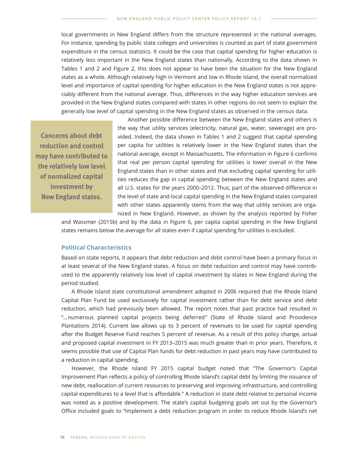local governments in New England differs from the structure represented in the national averages. For instance, spending by public state colleges and universities is counted as part of state government expenditure in the census statistics. It could be the case that capital spending for higher education is relatively less important in the New England states than nationally. According to the data shown in Tables 1 and 2 and Figure 2, this does not appear to have been the situation for the New England states as a whole. Although relatively high in Vermont and low in Rhode Island, the overall normalized level and importance of capital spending for higher education in the New England states is not appreciably different from the national average. Thus, differences in the way higher education services are provided in the New England states compared with states in other regions do not seem to explain the generally low level of capital spending in the New England states as observed in the census data.

**Concerns about debt reduction and control may have contributed to the relatively low level of normalized capital investment by New England states.**

Another possible difference between the New England states and others is the way that utility services (electricity, natural gas, water, sewerage) are provided. Indeed, the data shown in Tables 1 and 2 suggest that capital spending per capita for utilities is relatively lower in the New England states than the national average, except in Massachusetts. The information in Figure 6 confirms that real per person capital spending for utilities is lower overall in the New England states than in other states and that excluding capital spending for utilities reduces the gap in capital spending between the New England states and all U.S. states for the years 2000–2012. Thus, part of the observed difference in the level of state and local capital spending in the New England states compared with other states apparently stems from the way that utility services are organized in New England. However, as shown by the analysis reported by Fisher

and Wassmer (2015b) and by the data in Figure 6, per capita capital spending in the New England states remains below the average for all states even if capital spending for utilities is excluded.

#### **Political Characteristics**

Based on state reports, it appears that debt reduction and debt control have been a primary focus in at least several of the New England states. A focus on debt reduction and control may have contributed to the apparently relatively low level of capital investment by states in New England during the period studied.

A Rhode Island state constitutional amendment adopted in 2006 required that the Rhode Island Capital Plan Fund be used exclusively for capital investment rather than for debt service and debt reduction, which had previously been allowed. The report notes that past practice had resulted in "… numerous planned capital projects being deferred " (State of Rhode Island and Providence Plantations 2014). Current law allows up to 3 percent of revenues to be used for capital spending after the Budget Reserve Fund reaches 5 percent of revenue. As a result of this policy change, actual and proposed capital investment in FY 2013–2015 was much greater than in prior years. Therefore, it seems possible that use of Capital Plan funds for debt reduction in past years may have contributed to a reduction in capital spending.

However, the Rhode Island FY 2015 capital budget noted that "The Governor's Capital Improvement Plan reflects a policy of controlling Rhode Island's capital debt by limiting the issuance of new debt, reallocation of current resources to preserving and improving infrastructure, and controlling capital expenditures to a level that is affordable." A reduction in state debt relative to personal income was noted as a positive development. The state's capital budgeting goals set out by the Governor's Office included goals to "Implement a debt reduction program in order to reduce Rhode Island's net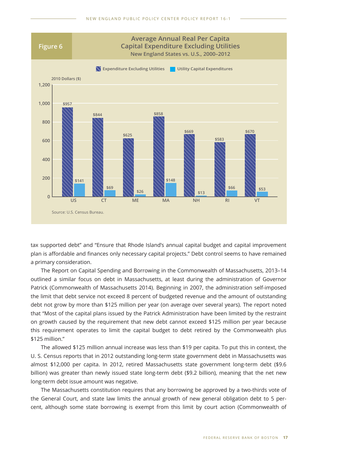

tax supported debt" and "Ensure that Rhode Island's annual capital budget and capital improvement plan is affordable and finances only necessary capital projects." Debt control seems to have remained a primary consideration.

The Report on Capital Spending and Borrowing in the Commonwealth of Massachusetts, 2013–14 outlined a similar focus on debt in Massachusetts, at least during the administration of Governor Patrick (Commonwealth of Massachusetts 2014). Beginning in 2007, the administration self-imposed the limit that debt service not exceed 8 percent of budgeted revenue and the amount of outstanding debt not grow by more than \$125 million per year (on average over several years). The report noted that "Most of the capital plans issued by the Patrick Administration have been limited by the restraint on growth caused by the requirement that new debt cannot exceed \$125 million per year because this requirement operates to limit the capital budget to debt retired by the Commonwealth plus \$125 million."

The allowed \$125 million annual increase was less than \$19 per capita. To put this in context, the U. S. Census reports that in 2012 outstanding long-term state government debt in Massachusetts was almost \$12,000 per capita. In 2012, retired Massachusetts state government long-term debt (\$9.6 billion) was greater than newly issued state long-term debt (\$9.2 billion), meaning that the net new long-term debt issue amount was negative.

The Massachusetts constitution requires that any borrowing be approved by a two-thirds vote of the General Court, and state law limits the annual growth of new general obligation debt to 5 percent, although some state borrowing is exempt from this limit by court action (Commonwealth of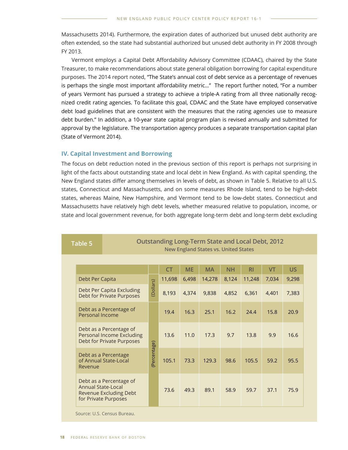Massachusetts 2014). Furthermore, the expiration dates of authorized but unused debt authority are often extended, so the state had substantial authorized but unused debt authority in FY 2008 through FY 2013.

Vermont employs a Capital Debt Affordability Advisory Committee (CDAAC), chaired by the State Treasurer, to make recommendations about state general obligation borrowing for capital expenditure purposes. The 2014 report noted, "The State's annual cost of debt service as a percentage of revenues is perhaps the single most important affordability metric…" The report further noted, "For a number of years Vermont has pursued a strategy to achieve a triple-A rating from all three nationally recognized credit rating agencies. To facilitate this goal, CDAAC and the State have employed conservative debt load guidelines that are consistent with the measures that the rating agencies use to measure debt burden." In addition, a 10-year state capital program plan is revised annually and submitted for approval by the legislature. The transportation agency produces a separate transportation capital plan (State of Vermont 2014).

#### **IV. Capital Investment and Borrowing**

The focus on debt reduction noted in the previous section of this report is perhaps not surprising in light of the facts about outstanding state and local debt in New England. As with capital spending, the New England states differ among themselves in levels of debt, as shown in Table 5. Relative to all U.S. states, Connecticut and Massachusetts, and on some measures Rhode Island, tend to be high-debt states, whereas Maine, New Hampshire, and Vermont tend to be low-debt states. Connecticut and Massachusetts have relatively high debt levels, whether measured relative to population, income, or state and local government revenue, for both aggregate long-term debt and long-term debt excluding

**New England States vs. United States**

**Table 5 Outstanding Long-Term State and Local Debt, 2012**

|                                                                                                        |              | <b>CT</b> | <b>ME</b> | <b>MA</b> | <b>NH</b> | R <sub>1</sub> | <b>VT</b> | US.   |
|--------------------------------------------------------------------------------------------------------|--------------|-----------|-----------|-----------|-----------|----------------|-----------|-------|
| Debt Per Capita                                                                                        |              | 11,698    | 6,498     | 14,278    | 8,124     | 11,248         | 7,034     | 9,298 |
| Debt Per Capita Excluding<br><b>Debt for Private Purposes</b>                                          | (Dollars)    | 8,193     | 4,374     | 9,838     | 4,852     | 6,361          | 4,401     | 7,383 |
| Debt as a Percentage of<br>Personal Income                                                             |              | 19.4      | 16.3      | 25.1      | 16.2      | 24.4           | 15.8      | 20.9  |
| Debt as a Percentage of<br>Personal Income Excluding<br>Debt for Private Purposes                      |              | 13.6      | 11.0      | 17.3      | 9.7       | 13.8           | 9.9       | 16.6  |
| Debt as a Percentage<br>of Annual State-Local<br>Revenue                                               | (Percentage) | 105.1     | 73.3      | 129.3     | 98.6      | 105.5          | 59.2      | 95.5  |
| Debt as a Percentage of<br><b>Annual State-Local</b><br>Revenue Excluding Debt<br>for Private Purposes |              | 73.6      | 49.3      | 89.1      | 58.9      | 59.7           | 37.1      | 75.9  |

Source: U.S. Census Bureau.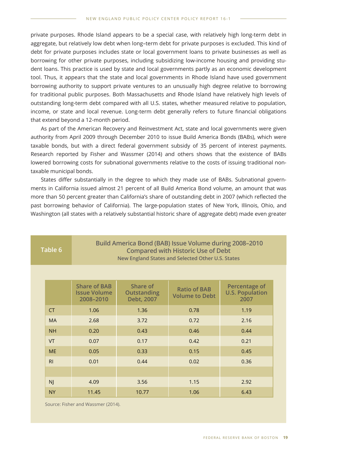private purposes. Rhode Island appears to be a special case, with relatively high long-term debt in aggregate, but relatively low debt when long–term debt for private purposes is excluded. This kind of debt for private purposes includes state or local government loans to private businesses as well as borrowing for other private purposes, including subsidizing low-income housing and providing student loans. This practice is used by state and local governments partly as an economic development tool. Thus, it appears that the state and local governments in Rhode Island have used government borrowing authority to support private ventures to an unusually high degree relative to borrowing for traditional public purposes. Both Massachusetts and Rhode Island have relatively high levels of outstanding long-term debt compared with all U.S. states, whether measured relative to population, income, or state and local revenue. Long-term debt generally refers to future financial obligations that extend beyond a 12-month period.

As part of the American Recovery and Reinvestment Act, state and local governments were given authority from April 2009 through December 2010 to issue Build America Bonds (BABs), which were taxable bonds, but with a direct federal government subsidy of 35 percent of interest payments. Research reported by Fisher and Wassmer (2014) and others shows that the existence of BABs lowered borrowing costs for subnational governments relative to the costs of issuing traditional nontaxable municipal bonds.

States differ substantially in the degree to which they made use of BABs. Subnational governments in California issued almost 21 percent of all Build America Bond volume, an amount that was more than 50 percent greater than California's share of outstanding debt in 2007 (which reflected the past borrowing behavior of California). The large-population states of New York, Illinois, Ohio, and Washington (all states with a relatively substantial historic share of aggregate debt) made even greater

| Table 6        |           | Build America Bond (BAB) Issue Volume during 2008-2010<br><b>Compared with Historic Use of Debt</b><br>New England States and Selected Other U.S. States |                                              |                                              |                                                 |  |  |  |  |
|----------------|-----------|----------------------------------------------------------------------------------------------------------------------------------------------------------|----------------------------------------------|----------------------------------------------|-------------------------------------------------|--|--|--|--|
|                |           |                                                                                                                                                          |                                              |                                              |                                                 |  |  |  |  |
|                |           | <b>Share of BAB</b><br><b>Issue Volume</b><br>2008-2010                                                                                                  | Share of<br><b>Outstanding</b><br>Debt, 2007 | <b>Ratio of BAB</b><br><b>Volume to Debt</b> | Percentage of<br><b>U.S. Population</b><br>2007 |  |  |  |  |
| <b>CT</b>      |           | 1.06                                                                                                                                                     | 1.36                                         | 0.78                                         | 1.19                                            |  |  |  |  |
|                | <b>MA</b> | 2.68                                                                                                                                                     | 3.72                                         | 0.72                                         | 2.16                                            |  |  |  |  |
|                | <b>NH</b> | 0.20                                                                                                                                                     | 0.43                                         | 0.46                                         | 0.44                                            |  |  |  |  |
| <b>VT</b>      |           | 0.07                                                                                                                                                     | 0.17                                         | 0.42                                         | 0.21                                            |  |  |  |  |
|                | <b>ME</b> | 0.05                                                                                                                                                     | 0.33                                         | 0.15                                         | 0.45                                            |  |  |  |  |
| R <sub>l</sub> |           | 0.01                                                                                                                                                     | 0.44                                         | 0.02                                         | 0.36                                            |  |  |  |  |
|                |           |                                                                                                                                                          |                                              |                                              |                                                 |  |  |  |  |
| <b>NJ</b>      |           | 4.09                                                                                                                                                     | 3.56                                         | 1.15                                         | 2.92                                            |  |  |  |  |
| <b>NY</b>      |           | 11.45                                                                                                                                                    | 10.77                                        | 1.06                                         | 6.43                                            |  |  |  |  |

Source: Fisher and Wassmer (2014).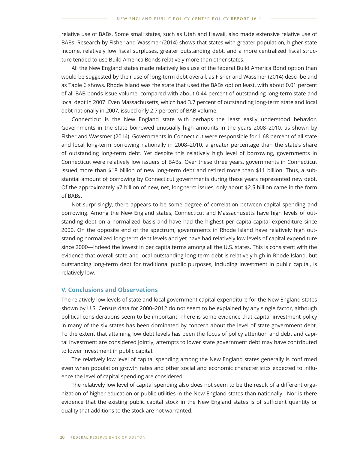relative use of BABs. Some small states, such as Utah and Hawaii, also made extensive relative use of BABs. Research by Fisher and Wassmer (2014) shows that states with greater population, higher state income, relatively low fiscal surpluses, greater outstanding debt, and a more centralized fiscal structure tended to use Build America Bonds relatively more than other states.

All the New England states made relatively less use of the federal Build America Bond option than would be suggested by their use of long-term debt overall, as Fisher and Wassmer (2014) describe and as Table 6 shows. Rhode Island was the state that used the BABs option least, with about 0.01 percent of all BAB bonds issue volume, compared with about 0.44 percent of outstanding long-term state and local debt in 2007. Even Massachusetts, which had 3.7 percent of outstanding long-term state and local debt nationally in 2007, issued only 2.7 percent of BAB volume.

Connecticut is the New England state with perhaps the least easily understood behavior. Governments in the state borrowed unusually high amounts in the years 2008–2010, as shown by Fisher and Wassmer (2014). Governments in Connecticut were responsible for 1.68 percent of all state and local long-term borrowing nationally in 2008–2010, a greater percentage than the state's share of outstanding long-term debt. Yet despite this relatively high level of borrowing, governments in Connecticut were relatively low issuers of BABs. Over these three years, governments in Connecticut issued more than \$18 billion of new long-term debt and retired more than \$11 billion. Thus, a substantial amount of borrowing by Connecticut governments during these years represented new debt. Of the approximately \$7 billion of new, net, long-term issues, only about \$2.5 billion came in the form of BABs.

Not surprisingly, there appears to be some degree of correlation between capital spending and borrowing. Among the New England states, Connecticut and Massachusetts have high levels of outstanding debt on a normalized basis and have had the highest per capita capital expenditure since 2000. On the opposite end of the spectrum, governments in Rhode Island have relatively high outstanding normalized long-term debt levels and yet have had relatively low levels of capital expenditure since 2000—indeed the lowest in per capita terms among all the U.S. states. This is consistent with the evidence that overall state and local outstanding long-term debt is relatively high in Rhode Island, but outstanding long-term debt for traditional public purposes, including investment in public capital, is relatively low.

#### **V. Conclusions and Observations**

The relatively low levels of state and local government capital expenditure for the New England states shown by U.S. Census data for 2000–2012 do not seem to be explained by any single factor, although political considerations seem to be important. There is some evidence that capital investment policy in many of the six states has been dominated by concern about the level of state government debt. To the extent that attaining low debt levels has been the focus of policy attention and debt and capital investment are considered jointly, attempts to lower state government debt may have contributed to lower investment in public capital.

The relatively low level of capital spending among the New England states generally is confirmed even when population growth rates and other social and economic characteristics expected to influence the level of capital spending are considered.

The relatively low level of capital spending also does not seem to be the result of a different organization of higher education or public utilities in the New England states than nationally. Nor is there evidence that the existing public capital stock in the New England states is of sufficient quantity or quality that additions to the stock are not warranted.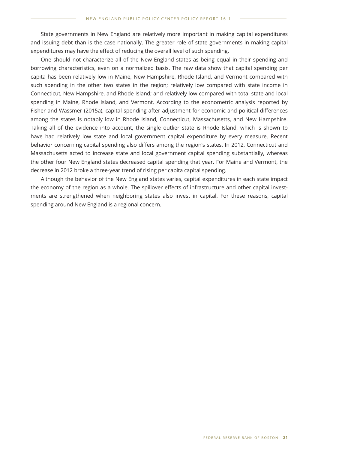State governments in New England are relatively more important in making capital expenditures and issuing debt than is the case nationally. The greater role of state governments in making capital expenditures may have the effect of reducing the overall level of such spending.

One should not characterize all of the New England states as being equal in their spending and borrowing characteristics, even on a normalized basis. The raw data show that capital spending per capita has been relatively low in Maine, New Hampshire, Rhode Island, and Vermont compared with such spending in the other two states in the region; relatively low compared with state income in Connecticut, New Hampshire, and Rhode Island; and relatively low compared with total state and local spending in Maine, Rhode Island, and Vermont. According to the econometric analysis reported by Fisher and Wassmer (2015a), capital spending after adjustment for economic and political differences among the states is notably low in Rhode Island, Connecticut, Massachusetts, and New Hampshire. Taking all of the evidence into account, the single outlier state is Rhode Island, which is shown to have had relatively low state and local government capital expenditure by every measure. Recent behavior concerning capital spending also differs among the region's states. In 2012, Connecticut and Massachusetts acted to increase state and local government capital spending substantially, whereas the other four New England states decreased capital spending that year. For Maine and Vermont, the decrease in 2012 broke a three-year trend of rising per capita capital spending.

Although the behavior of the New England states varies, capital expenditures in each state impact the economy of the region as a whole. The spillover effects of infrastructure and other capital investments are strengthened when neighboring states also invest in capital. For these reasons, capital spending around New England is a regional concern.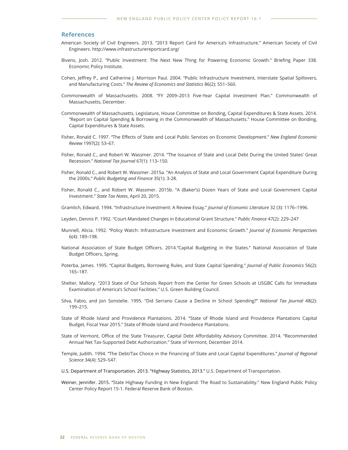#### **References**

- American Society of Civil Engineers. 2013. "2013 Report Card for America's Infrastructure." American Society of Civil Engineers. http://www.infrastructurereportcard.org/
- Bivens, Josh. 2012. "Public Investment: The Next New Thing for Powering Economic Growth." Briefing Paper 338. Economic Policy Institute.
- Cohen, Jeffrey P., and Catherine J. Morrison Paul. 2004. "Public Infrastructure Investment, Interstate Spatial Spillovers, and Manufacturing Costs." *The Review of Economics and Statistics* 86(2): 551–560.
- Commonwealth of Massachusetts. 2008. "FY 2009–2013 Five-Year Capital Investment Plan." Commonwealth of Massachusetts, December.
- Commonwealth of Massachusetts, Legislature, House Committee on Bonding, Capital Expenditures & State Assets. 2014. "Report on Capital Spending & Borrowing in the Commonwealth of Massachusetts." House Committee on Bonding, Capital Expenditures & State Assets.
- Fisher, Ronald C. 1997. "The Effects of State and Local Public Services on Economic Development." *New England Economic Review* 1997(2): 53–67.
- Fisher, Ronald C., and Robert W. Wassmer. 2014. "The Issuance of State and Local Debt During the United States' Great Recession." *National Tax Journal* 67(1): 113–150.
- Fisher, Ronald C., and Robert W. Wassmer. 2015a. "An Analysis of State and Local Government Capital Expenditure During the 2000s." *Public Budgeting and Finance* 35(1): 3-28.
- Fisher, Ronald C., and Robert W. Wassmer. 2015b. "A (Baker's) Dozen Years of State and Local Government Capital Investment." *State Tax Notes*, April 20, 2015.
- Gramlich, Edward. 1994. "Infrastructure Investment: A Review Essay." *Journal of Economic Literature* 32 (3): 1176–1996.
- Leyden, Dennis P. 1992. "Court-Mandated Changes in Educational Grant Structure." *Public Finance* 47(2): 229–247
- Munnell, Alicia. 1992. "Policy Watch: Infrastructure Investment and Economic Growth." *Journal of Economic Perspectives* 6(4): 189–198.
- National Association of State Budget Officers. 2014."Capital Budgeting in the States." National Association of State Budget Officers, Spring.
- Poterba, James. 1995. "Capital Budgets, Borrowing Rules, and State Capital Spending." *Journal of Public Economics* 56(2): 165–187.
- Shelter, Mallory. "2013 State of Our Schools Report from the Center for Green Schools at USGBC Calls for Immediate Examination of America's School Facilities." U.S. Green Building Council.
- Silva, Fabio, and Jon Sonstelie. 1995. "Did Serrano Cause a Decline in School Spending?" *National Tax Journal* 48(2): 199–215.
- State of Rhode Island and Providence Plantations. 2014. "State of Rhode Island and Providence Plantations Capital Budget, Fiscal Year 2015." State of Rhode Island and Providence Plantations.
- State of Vermont, Office of the State Treasurer, Capital Debt Affordability Advisory Committee. 2014. "Recommended Annual Net Tax-Supported Debt Authorization." State of Vermont, December 2014.
- Temple, Judith. 1994. "The Debt/Tax Choice in the Financing of State and Local Capital Expenditures." *Journal of Regional Science* 34(4): 529–547.
- U.S. Department of Transportation. 2013. "Highway Statistics, 2013." U.S. Department of Transportation.
- Weiner, Jennifer. 2015. "State Highway Funding in New England: The Road to Sustainability." New England Public Policy Center Policy Report 15-1. Federal Reserve Bank of Boston.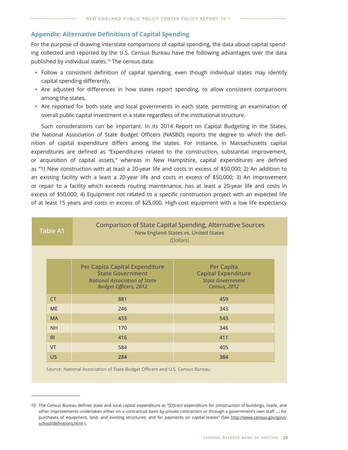#### **Appendix: Alternative Definitions of Capital Spending**

For the purpose of drawing interstate comparisons of capital spending, the data about capital spending collected and reported by the U.S. Census Bureau have the following advantages over the data published by individual states.<sup>10</sup> The census data:

- Follow a consistent definition of capital spending, even though individual states may identify capital spending differently,
- Are adjusted for differences in how states report spending, to allow consistent comparisons among the states,
- Are reported for both state and local governments in each state, permitting an examination of overall public capital investment in a state regardless of the institutional structure.

Such considerations can be important. In its 2014 Report on Capital Budgeting in the States, the National Association of State Budget Officers (NASBO) reports the degree to which the definition of capital expenditure differs among the states. For instance, in Massachusetts capital expenditures are defined as "Expenditures related to the construction, substantial improvement, or acquisition of capital assets," whereas in New Hampshire, capital expenditures are defined as "1) New construction with at least a 20-year life and costs in excess of \$50,000; 2) An addition to an existing facility with a least a 20-year life and costs in excess of \$50,000; 3) An improvement or repair to a facility which exceeds routing maintenance, has at least a 20-year life and costs in excess of \$50,000; 4) Equipment not related to a specific construction project with an expected life of at least 15 years and costs in excess of \$25,000. High-cost equipment with a low life expectancy

|  | <b>Table A1</b>                                        | <b>Comparison of State Capital Spending, Alternative Sources</b><br><b>New England States vs. United States</b><br>(Dollars)      |                                                                                                   |  |  |  |  |  |
|--|--------------------------------------------------------|-----------------------------------------------------------------------------------------------------------------------------------|---------------------------------------------------------------------------------------------------|--|--|--|--|--|
|  |                                                        |                                                                                                                                   |                                                                                                   |  |  |  |  |  |
|  |                                                        | Per Capita Capital Expenditure<br><b>State Government</b><br><b>National Association of State</b><br><b>Budget Officers, 2012</b> | <b>Per Capita</b><br><b>Capital Expenditure</b><br><b>State Government</b><br><b>Census, 2012</b> |  |  |  |  |  |
|  | <b>CT</b><br>881<br><b>ME</b><br>246                   |                                                                                                                                   | 459                                                                                               |  |  |  |  |  |
|  |                                                        |                                                                                                                                   | 343                                                                                               |  |  |  |  |  |
|  | <b>MA</b>                                              | 433                                                                                                                               | 543                                                                                               |  |  |  |  |  |
|  | <b>NH</b>                                              | 170                                                                                                                               | 346                                                                                               |  |  |  |  |  |
|  | R <sub>l</sub><br>416<br>VT<br>584<br><b>US</b><br>284 |                                                                                                                                   | 411                                                                                               |  |  |  |  |  |
|  |                                                        |                                                                                                                                   | 405                                                                                               |  |  |  |  |  |
|  |                                                        |                                                                                                                                   | 384                                                                                               |  |  |  |  |  |

Source: National Association of State Budget Officers and U.S. Census Bureau.

<sup>10</sup> The Census Bureau defines state and local capital expenditure as "[D]irect expenditure for construction of buildings, roads, and other improvements undertaken either on a contractual basis by private contractors or through a government's own staff …; for purchases of equipment, land, and existing structures; and for payments on capital leases" (See http://www.census.gov/govs/ school/definitions.html ).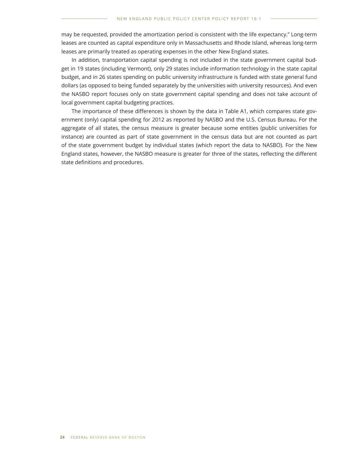may be requested, provided the amortization period is consistent with the life expectancy." Long-term leases are counted as capital expenditure only in Massachusetts and Rhode Island, whereas long-term leases are primarily treated as operating expenses in the other New England states.

In addition, transportation capital spending is not included in the state government capital budget in 19 states (including Vermont), only 29 states include information technology in the state capital budget, and in 26 states spending on public university infrastructure is funded with state general fund dollars (as opposed to being funded separately by the universities with university resources). And even the NASBO report focuses only on state government capital spending and does not take account of local government capital budgeting practices.

The importance of these differences is shown by the data in Table A1, which compares state government (only) capital spending for 2012 as reported by NASBO and the U.S. Census Bureau. For the aggregate of all states, the census measure is greater because some entities (public universities for instance) are counted as part of state government in the census data but are not counted as part of the state government budget by individual states (which report the data to NASBO). For the New England states, however, the NASBO measure is greater for three of the states, reflecting the different state definitions and procedures.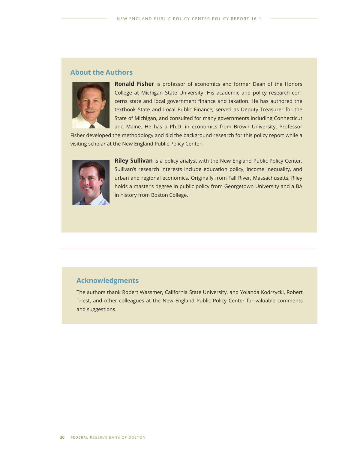# **About the Authors**



**Ronald Fisher** is professor of economics and former Dean of the Honors College at Michigan State University. His academic and policy research concerns state and local government finance and taxation. He has authored the textbook State and Local Public Finance, served as Deputy Treasurer for the State of Michigan, and consulted for many governments including Connecticut and Maine. He has a Ph.D. in economics from Brown University. Professor

Fisher developed the methodology and did the background research for this policy report while a visiting scholar at the New England Public Policy Center.



**Riley Sullivan** is a policy analyst with the New England Public Policy Center. Sullivan's research interests include education policy, income inequality, and urban and regional economics. Originally from Fall River, Massachusetts, Riley holds a master's degree in public policy from Georgetown University and a BA in history from Boston College.

# **Acknowledgments**

The authors thank Robert Wassmer, California State University, and Yolanda Kodrzycki, Robert Triest, and other colleagues at the New England Public Policy Center for valuable comments and suggestions.